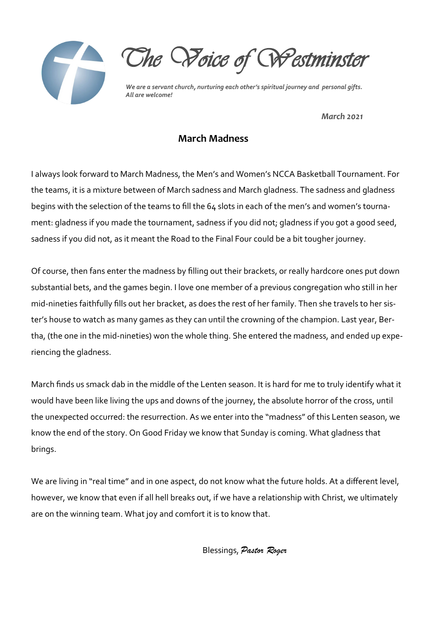

*The Voice of Westminster* 

*We are a servant church, nurturing each other's spiritual journey and personal gifts. All are welcome!*

*March 2021*

## **March Madness**

I always look forward to March Madness, the Men's and Women's NCCA Basketball Tournament. For the teams, it is a mixture between of March sadness and March gladness. The sadness and gladness begins with the selection of the teams to fill the 64 slots in each of the men's and women's tournament: gladness if you made the tournament, sadness if you did not; gladness if you got a good seed, sadness if you did not, as it meant the Road to the Final Four could be a bit tougher journey.

Of course, then fans enter the madness by filling out their brackets, or really hardcore ones put down substantial bets, and the games begin. I love one member of a previous congregation who still in her mid-nineties faithfully fills out her bracket, as does the rest of her family. Then she travels to her sister's house to watch as many games as they can until the crowning of the champion. Last year, Bertha, (the one in the mid-nineties) won the whole thing. She entered the madness, and ended up experiencing the gladness.

March finds us smack dab in the middle of the Lenten season. It is hard for me to truly identify what it would have been like living the ups and downs of the journey, the absolute horror of the cross, until the unexpected occurred: the resurrection. As we enter into the "madness" of this Lenten season, we know the end of the story. On Good Friday we know that Sunday is coming. What gladness that brings.

We are living in "real time" and in one aspect, do not know what the future holds. At a different level, however, we know that even if all hell breaks out, if we have a relationship with Christ, we ultimately are on the winning team. What joy and comfort it is to know that.

Blessings, *Pastor Roger*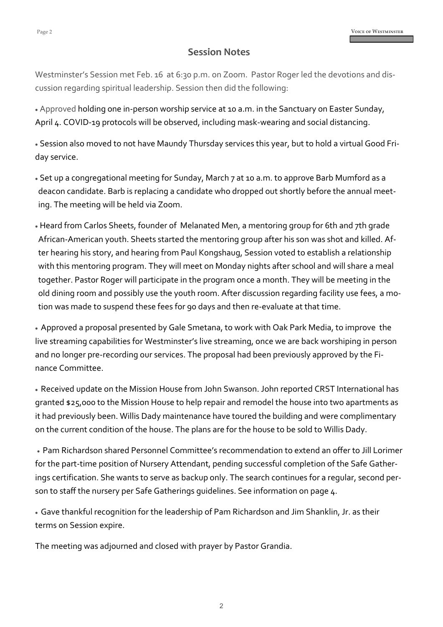#### **Session Notes**

Westminster's Session met Feb. 16 at 6:30 p.m. on Zoom. Pastor Roger led the devotions and discussion regarding spiritual leadership. Session then did the following:

• Approved holding one in-person worship service at 10 a.m. in the Sanctuary on Easter Sunday, April 4. COVID-19 protocols will be observed, including mask-wearing and social distancing.

• Session also moved to not have Maundy Thursday services this year, but to hold a virtual Good Friday service.

• Set up a congregational meeting for Sunday, March 7 at 10 a.m. to approve Barb Mumford as a deacon candidate. Barb is replacing a candidate who dropped out shortly before the annual meeting. The meeting will be held via Zoom.

• Heard from Carlos Sheets, founder of Melanated Men, a mentoring group for 6th and 7th grade African-American youth. Sheets started the mentoring group after his son was shot and killed. After hearing his story, and hearing from Paul Kongshaug, Session voted to establish a relationship with this mentoring program. They will meet on Monday nights after school and will share a meal together. Pastor Roger will participate in the program once a month. They will be meeting in the old dining room and possibly use the youth room. After discussion regarding facility use fees, a motion was made to suspend these fees for 90 days and then re-evaluate at that time.

• Approved a proposal presented by Gale Smetana, to work with Oak Park Media, to improve the live streaming capabilities for Westminster's live streaming, once we are back worshiping in person and no longer pre-recording our services. The proposal had been previously approved by the Finance Committee.

• Received update on the Mission House from John Swanson. John reported CRST International has granted \$25,000 to the Mission House to help repair and remodel the house into two apartments as it had previously been. Willis Dady maintenance have toured the building and were complimentary on the current condition of the house. The plans are for the house to be sold to Willis Dady.

• Pam Richardson shared Personnel Committee's recommendation to extend an offer to Jill Lorimer for the part-time position of Nursery Attendant, pending successful completion of the Safe Gatherings certification. She wants to serve as backup only. The search continues for a regular, second person to staff the nursery per Safe Gatherings guidelines. See information on page 4.

• Gave thankful recognition for the leadership of Pam Richardson and Jim Shanklin, Jr. as their terms on Session expire.

The meeting was adjourned and closed with prayer by Pastor Grandia.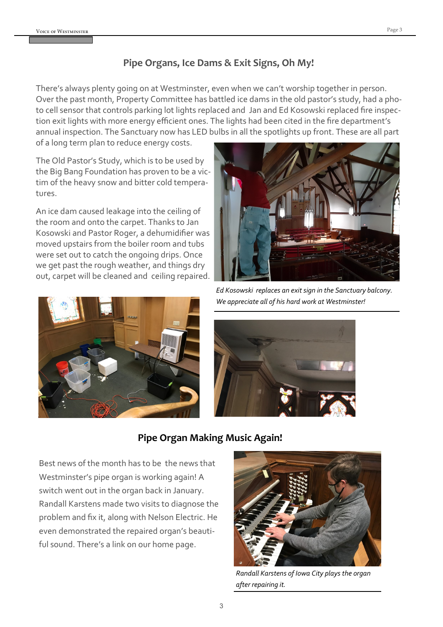### **Pipe Organs, Ice Dams & Exit Signs, Oh My!**

There's always plenty going on at Westminster, even when we can't worship together in person. Over the past month, Property Committee has battled ice dams in the old pastor's study, had a photo cell sensor that controls parking lot lights replaced and Jan and Ed Kosowski replaced fire inspection exit lights with more energy efficient ones. The lights had been cited in the fire department's annual inspection. The Sanctuary now has LED bulbs in all the spotlights up front. These are all part

of a long term plan to reduce energy costs.

The Old Pastor's Study, which is to be used by the Big Bang Foundation has proven to be a victim of the heavy snow and bitter cold temperatures.

An ice dam caused leakage into the ceiling of the room and onto the carpet. Thanks to Jan Kosowski and Pastor Roger, a dehumidifier was moved upstairs from the boiler room and tubs were set out to catch the ongoing drips. Once we get past the rough weather, and things dry out, carpet will be cleaned and ceiling repaired.





*Ed Kosowski replaces an exit sign in the Sanctuary balcony. We appreciate all of his hard work at Westminster!*



## **Pipe Organ Making Music Again!**

Best news of the month has to be the news that Westminster's pipe organ is working again! A switch went out in the organ back in January. Randall Karstens made two visits to diagnose the problem and fix it, along with Nelson Electric. He even demonstrated the repaired organ's beautiful sound. There's a link on our home page.



*Randall Karstens of Iowa City plays the organ after repairing it.*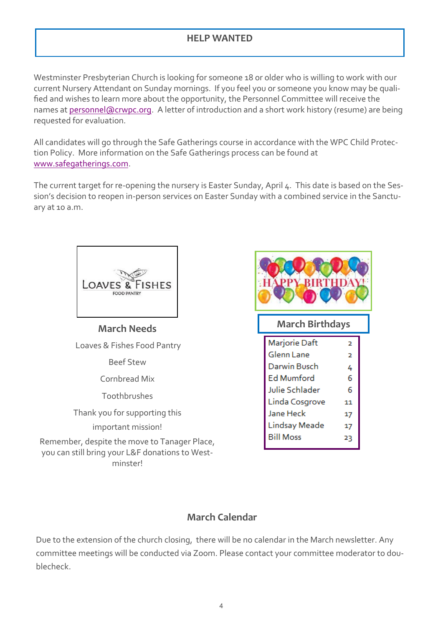## **HELP WANTED**

Westminster Presbyterian Church is looking for someone 18 or older who is willing to work with our current Nursery Attendant on Sunday mornings. If you feel you or someone you know may be qualified and wishes to learn more about the opportunity, the Personnel Committee will receive the names at [personnel@crwpc.org.](mailto:personnel@crwpc.org) A letter of introduction and a short work history (resume) are being requested for evaluation.

All candidates will go through the Safe Gatherings course in accordance with the WPC Child Protection Policy. More information on the Safe Gatherings process can be found at [www.safegatherings.com.](http://www.safegatherings.com)

The current target for re-opening the nursery is Easter Sunday, April 4. This date is based on the Session's decision to reopen in-person services on Easter Sunday with a combined service in the Sanctuary at 10 a.m.



**March Needs**  Loaves & Fishes Food Pantry Beef Stew Cornbread Mix Toothbrushes Thank you for supporting this important mission!

## **March Birthdays**

| Marjorie Daft  | 2  |
|----------------|----|
| Glenn Lane     | 2  |
| Darwin Busch   | 4  |
| Ed Mumford     | 6  |
| Julie Schlader | 6  |
| Linda Cosgrove | 11 |
| Jane Heck      | 17 |
| Lindsay Meade  | 17 |
| Bill Moss      | 23 |
|                |    |

Remember, despite the move to Tanager Place, you can still bring your L&F donations to Westminster!

# **March Calendar**

Due to the extension of the church closing, there will be no calendar in the March newsletter. Any committee meetings will be conducted via Zoom. Please contact your committee moderator to doublecheck.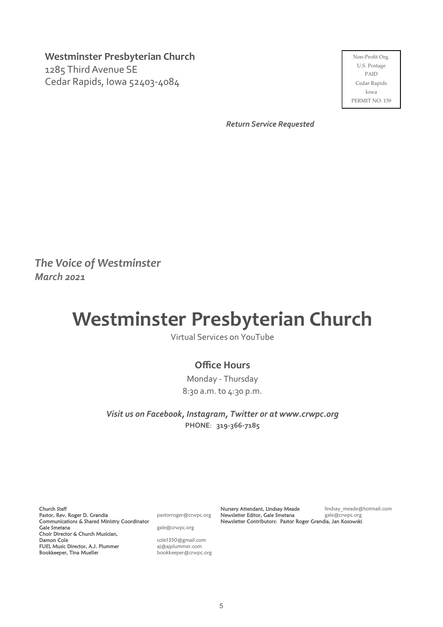**Westminster Presbyterian Church**

1285 Third Avenue SE Cedar Rapids, Iowa 52403-4084

Non-Profit Org. U.S. Postage PAID Cedar Rapids Iowa PERMIT NO. 139

*Return Service Requested*

*The Voice of Westminster March 2021*

# **Westminster Presbyterian Church**

Virtual Services on YouTube

#### **Office Hours**

Monday - Thursday 8:30 a.m. to 4:30 p.m.

*Visit us on Facebook, Instagram, Twitter or at www.crwpc.org* **PHONE**: **319-366-7185**

Church Staff Pastor, Rev. Roger D. Grandia entitled pastorroger@crwpc.org Communications & Shared Ministry Coordinator Gale Smetana and a gale and gale and gale and gale and gale and gale and gale and gale and gale and gale and gale and gale and gale and gale and gale and gale and gale and gale and gale and gale and gale and gale and gale Choir Director & Church Musician, Damon Cole **Cole** cole1350@gmail.com FUEL Music Director, A.J. Plummer<br>FUEL Music Director, A.J. Plummer<br> $a^j$ @ajplummer.com Bookkeeper, Tina Mueller bookkeeper@crwpc.org

Nursery Attendant, Lindsay Meade lindsay\_meade@hotmail.com Newsletter Editor, Gale Smetana Frank gale@crwpc.org Newsletter Contributors: Pastor Roger Grandia, Jan Kosowski